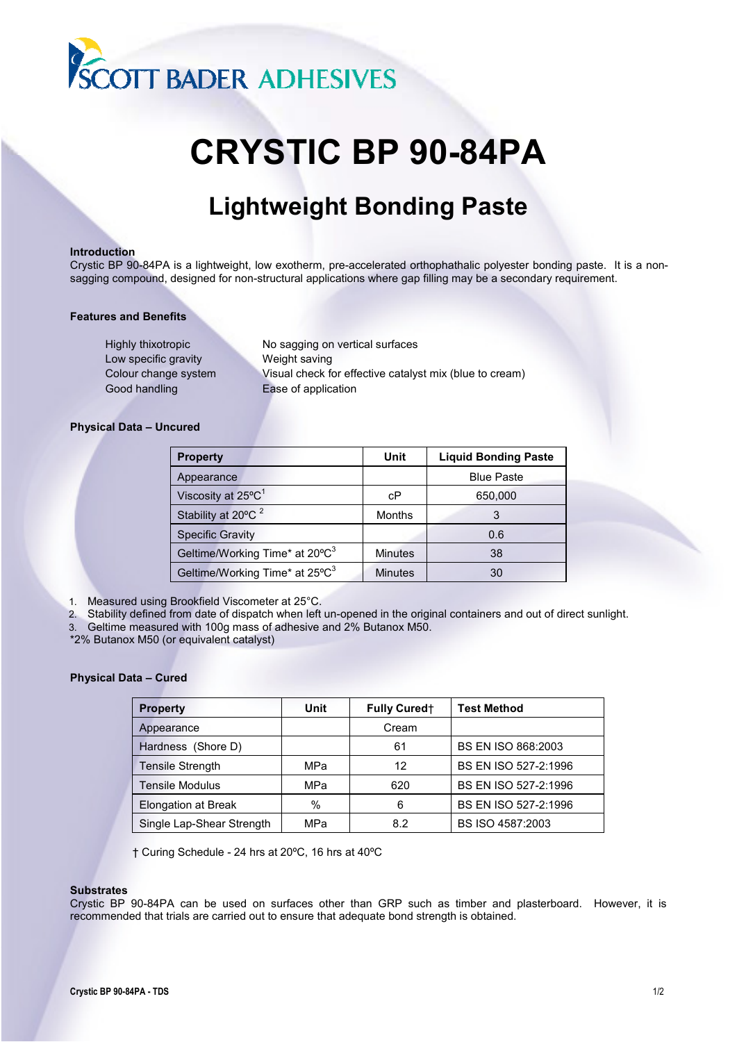

# **CRYSTIC BP 90-84PA**

# **Lightweight Bonding Paste**

## **Introduction**

Crystic BP 90-84PA is a lightweight, low exotherm, pre-accelerated orthophathalic polyester bonding paste. It is a nonsagging compound, designed for non-structural applications where gap filling may be a secondary requirement.

# **Features and Benefits**

Highly thixotropic No sagging on vertical surfaces Low specific gravity **Weight saving** Good handling Ease of application

Colour change system Visual check for effective catalyst mix (blue to cream)

# **Physical Data – Uncured**

| <b>Property</b>                            | Unit           | <b>Liquid Bonding Paste</b> |
|--------------------------------------------|----------------|-----------------------------|
| Appearance                                 |                | <b>Blue Paste</b>           |
| Viscosity at 25°C <sup>1</sup>             | сP             | 650,000                     |
| Stability at 20°C <sup>2</sup>             | <b>Months</b>  | 3                           |
| <b>Specific Gravity</b>                    |                | 0.6                         |
| Geltime/Working Time* at 20°C <sup>3</sup> | <b>Minutes</b> | 38                          |
| Geltime/Working Time* at 25°C <sup>3</sup> | <b>Minutes</b> | 30                          |

1. Measured using Brookfield Viscometer at 25°C.

2. Stability defined from date of dispatch when left un-opened in the original containers and out of direct sunlight.

3. Geltime measured with 100g mass of adhesive and 2% Butanox M50.

\*2% Butanox M50 (or equivalent catalyst)

# **Physical Data – Cured**

| <b>Property</b>           | Unit | <b>Fully Curedt</b> | <b>Test Method</b>        |
|---------------------------|------|---------------------|---------------------------|
| Appearance                |      | Cream               |                           |
| Hardness (Shore D)        |      | 61                  | <b>BS EN ISO 868:2003</b> |
| <b>Tensile Strength</b>   | MPa  | 12                  | BS EN ISO 527-2:1996      |
| <b>Tensile Modulus</b>    | MPa  | 620                 | BS EN ISO 527-2:1996      |
| Elongation at Break       | $\%$ | 6                   | BS EN ISO 527-2:1996      |
| Single Lap-Shear Strength | MPa  | 8.2                 | BS ISO 4587:2003          |

† Curing Schedule - 24 hrs at 20ºC, 16 hrs at 40ºC

# **Substrates**

Crystic BP 90-84PA can be used on surfaces other than GRP such as timber and plasterboard. However, it is recommended that trials are carried out to ensure that adequate bond strength is obtained.